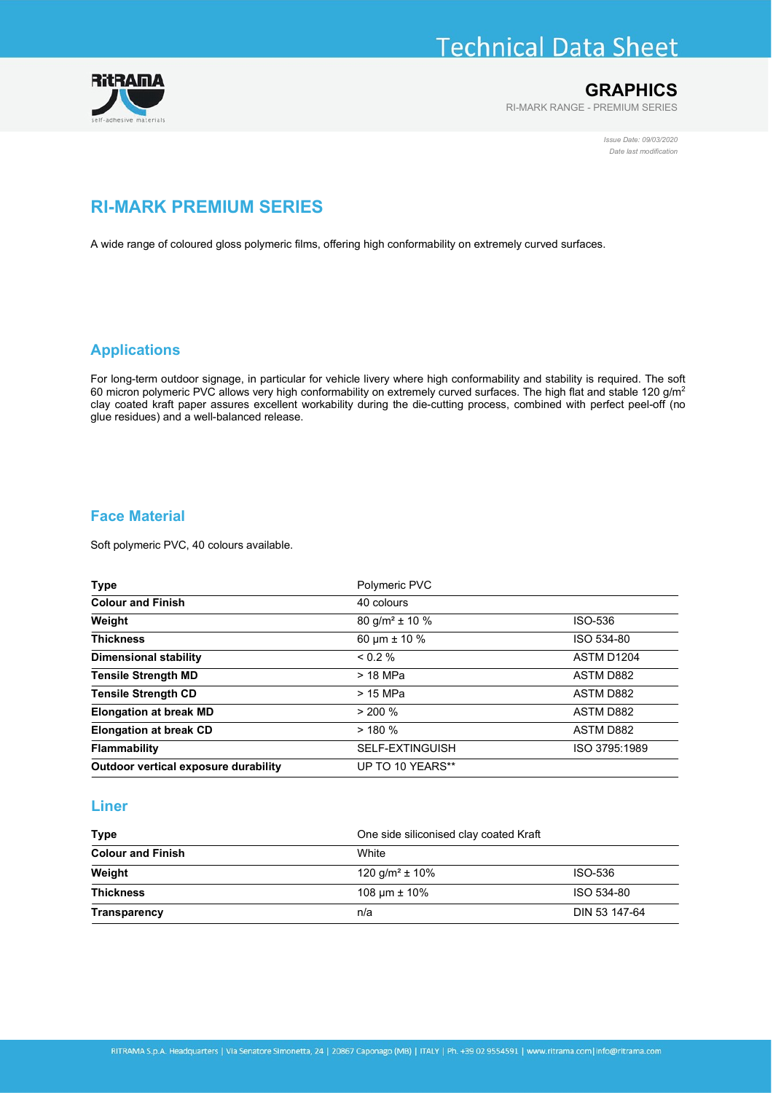# **Technical Data Sheet**



## **GRAPHICS**

RI-MARK RANGE - PREMIUM SERIES

Issue Date: 09/03/2020 Date last modification

# RI-MARK PREMIUM SERIES

A wide range of coloured gloss polymeric films, offering high conformability on extremely curved surfaces.

# Applications

For long-term outdoor signage, in particular for vehicle livery where high conformability and stability is required. The soft 60 micron polymeric PVC allows very high conformability on extremely curved surfaces. The high flat and stable 120 g/m<sup>2</sup> clay coated kraft paper assures excellent workability during the die-cutting process, combined with perfect peel-off (no glue residues) and a well-balanced release.

# Face Material

Soft polymeric PVC, 40 colours available.

| Type                                 | Polymeric PVC                  |                  |
|--------------------------------------|--------------------------------|------------------|
| <b>Colour and Finish</b>             | 40 colours                     |                  |
| Weight                               | 80 g/m <sup>2</sup> $\pm$ 10 % | ISO-536          |
| <b>Thickness</b>                     | 60 $\mu$ m ± 10 %              | ISO 534-80       |
| <b>Dimensional stability</b>         | $0.2\%$                        | ASTM D1204       |
| <b>Tensile Strength MD</b>           | > 18 MPa                       | <b>ASTM D882</b> |
| <b>Tensile Strength CD</b>           | > 15 MPa                       | <b>ASTM D882</b> |
| <b>Elongation at break MD</b>        | > 200 %                        | <b>ASTM D882</b> |
| <b>Elongation at break CD</b>        | > 180%                         | <b>ASTM D882</b> |
| <b>Flammability</b>                  | <b>SELF-EXTINGUISH</b>         | ISO 3795:1989    |
| Outdoor vertical exposure durability | UP TO 10 YEARS**               |                  |

#### Liner

| <b>Type</b>                        | One side siliconised clay coated Kraft |               |  |
|------------------------------------|----------------------------------------|---------------|--|
| <b>Colour and Finish</b><br>Weight | White                                  |               |  |
|                                    | 120 g/m <sup>2</sup> $\pm$ 10%         | ISO-536       |  |
| <b>Thickness</b>                   | 108 $\mu$ m $\pm$ 10%                  | ISO 534-80    |  |
| <b>Transparency</b>                | n/a                                    | DIN 53 147-64 |  |